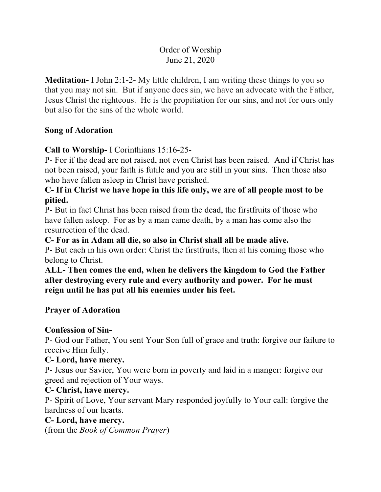# Order of Worship June 21, 2020

**Meditation-** I John 2:1-2- My little children, I am writing these things to you so that you may not sin. But if anyone does sin, we have an advocate with the Father, Jesus Christ the righteous. He is the propitiation for our sins, and not for ours only but also for the sins of the whole world.

#### **Song of Adoration**

**Call to Worship-** I Corinthians 15:16-25-

P- For if the dead are not raised, not even Christ has been raised. And if Christ has not been raised, your faith is futile and you are still in your sins. Then those also who have fallen asleep in Christ have perished.

## **C- If in Christ we have hope in this life only, we are of all people most to be pitied.**

P- But in fact Christ has been raised from the dead, the firstfruits of those who have fallen asleep. For as by a man came death, by a man has come also the resurrection of the dead.

#### **C- For as in Adam all die, so also in Christ shall all be made alive.**

P- But each in his own order: Christ the firstfruits, then at his coming those who belong to Christ.

## **ALL- Then comes the end, when he delivers the kingdom to God the Father after destroying every rule and every authority and power. For he must reign until he has put all his enemies under his feet.**

#### **Prayer of Adoration**

#### **Confession of Sin-**

P- God our Father, You sent Your Son full of grace and truth: forgive our failure to receive Him fully.

#### **C- Lord, have mercy.**

P- Jesus our Savior, You were born in poverty and laid in a manger: forgive our greed and rejection of Your ways.

#### **C- Christ, have mercy.**

P- Spirit of Love, Your servant Mary responded joyfully to Your call: forgive the hardness of our hearts.

#### **C- Lord, have mercy.**

(from the *Book of Common Prayer*)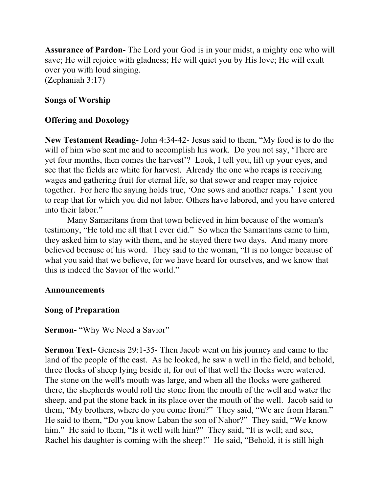**Assurance of Pardon-** The Lord your God is in your midst, a mighty one who will save; He will rejoice with gladness; He will quiet you by His love; He will exult over you with loud singing. (Zephaniah 3:17)

# **Songs of Worship**

# **Offering and Doxology**

**New Testament Reading-** John 4:34-42- Jesus said to them, "My food is to do the will of him who sent me and to accomplish his work. Do you not say, 'There are yet four months, then comes the harvest'? Look, I tell you, lift up your eyes, and see that the fields are white for harvest. Already the one who reaps is receiving wages and gathering fruit for eternal life, so that sower and reaper may rejoice together. For here the saying holds true, 'One sows and another reaps.' I sent you to reap that for which you did not labor. Others have labored, and you have entered into their labor."

Many Samaritans from that town believed in him because of the woman's testimony, "He told me all that I ever did." So when the Samaritans came to him, they asked him to stay with them, and he stayed there two days. And many more believed because of his word. They said to the woman, "It is no longer because of what you said that we believe, for we have heard for ourselves, and we know that this is indeed the Savior of the world."

#### **Announcements**

#### **Song of Preparation**

#### **Sermon-** "Why We Need a Savior"

**Sermon Text-** Genesis 29:1-35- Then Jacob went on his journey and came to the land of the people of the east. As he looked, he saw a well in the field, and behold, three flocks of sheep lying beside it, for out of that well the flocks were watered. The stone on the well's mouth was large, and when all the flocks were gathered there, the shepherds would roll the stone from the mouth of the well and water the sheep, and put the stone back in its place over the mouth of the well. Jacob said to them, "My brothers, where do you come from?" They said, "We are from Haran." He said to them, "Do you know Laban the son of Nahor?" They said, "We know him." He said to them, "Is it well with him?" They said, "It is well; and see, Rachel his daughter is coming with the sheep!" He said, "Behold, it is still high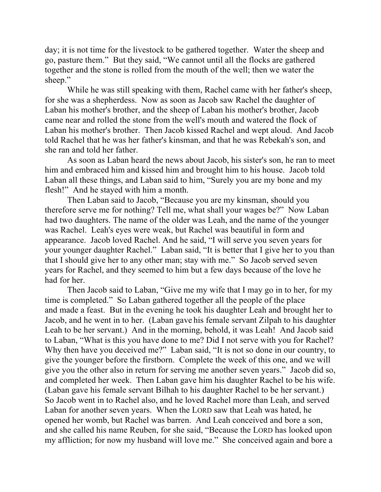day; it is not time for the livestock to be gathered together. Water the sheep and go, pasture them." But they said, "We cannot until all the flocks are gathered together and the stone is rolled from the mouth of the well; then we water the sheep."

While he was still speaking with them, Rachel came with her father's sheep, for she was a shepherdess. Now as soon as Jacob saw Rachel the daughter of Laban his mother's brother, and the sheep of Laban his mother's brother, Jacob came near and rolled the stone from the well's mouth and watered the flock of Laban his mother's brother. Then Jacob kissed Rachel and wept aloud. And Jacob told Rachel that he was her father's kinsman, and that he was Rebekah's son, and she ran and told her father.

As soon as Laban heard the news about Jacob, his sister's son, he ran to meet him and embraced him and kissed him and brought him to his house. Jacob told Laban all these things, and Laban said to him, "Surely you are my bone and my flesh!" And he stayed with him a month.

Then Laban said to Jacob, "Because you are my kinsman, should you therefore serve me for nothing? Tell me, what shall your wages be?" Now Laban had two daughters. The name of the older was Leah, and the name of the younger was Rachel. Leah's eyes were weak, but Rachel was beautiful in form and appearance. Jacob loved Rachel. And he said, "I will serve you seven years for your younger daughter Rachel." Laban said, "It is better that I give her to you than that I should give her to any other man; stay with me." So Jacob served seven years for Rachel, and they seemed to him but a few days because of the love he had for her.

Then Jacob said to Laban, "Give me my wife that I may go in to her, for my time is completed." So Laban gathered together all the people of the place and made a feast. But in the evening he took his daughter Leah and brought her to Jacob, and he went in to her. (Laban gave his female servant Zilpah to his daughter Leah to be her servant.) And in the morning, behold, it was Leah! And Jacob said to Laban, "What is this you have done to me? Did I not serve with you for Rachel? Why then have you deceived me?" Laban said, "It is not so done in our country, to give the younger before the firstborn. Complete the week of this one, and we will give you the other also in return for serving me another seven years." Jacob did so, and completed her week. Then Laban gave him his daughter Rachel to be his wife. (Laban gave his female servant Bilhah to his daughter Rachel to be her servant.) So Jacob went in to Rachel also, and he loved Rachel more than Leah, and served Laban for another seven years. When the LORD saw that Leah was hated, he opened her womb, but Rachel was barren. And Leah conceived and bore a son, and she called his name Reuben, for she said, "Because the LORD has looked upon my affliction; for now my husband will love me." She conceived again and bore a